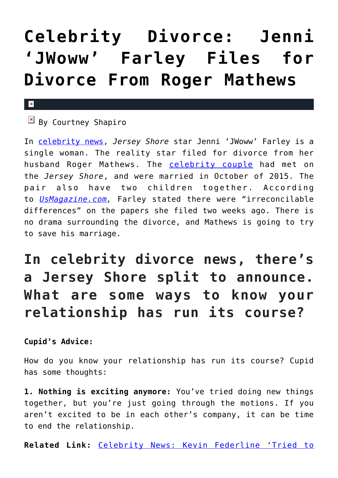## **[Celebrity Divorce: Jenni](https://cupidspulse.com/126796/celebrity-divorce-jenni-jwoww-farley-files-divorce-roger-mathews/) ['JWoww' Farley Files for](https://cupidspulse.com/126796/celebrity-divorce-jenni-jwoww-farley-files-divorce-roger-mathews/) [Divorce From Roger Mathews](https://cupidspulse.com/126796/celebrity-divorce-jenni-jwoww-farley-files-divorce-roger-mathews/)**

## $\pmb{\times}$

 $\overline{B}$  By Courtney Shapiro

In [celebrity news](http://cupidspulse.com/celebrity-news/), *Jersey Shore* star Jenni 'JWoww' Farley is a single woman. The reality star filed for divorce from her husband Roger Mathews. The [celebrity couple](http://cupidspulse.com/celebrity-news/celebrity-dating/) had met on the *Jersey Shore*, and were married in October of 2015. The pair also have two children together. According to *[UsMagazine.com](https://www.usmagazine.com/celebrity-news/news/jenni-jwoww-farley-files-for-divorce-from-roger-mathews/),* Farley stated there were "irreconcilable differences" on the papers she filed two weeks ago. There is no drama surrounding the divorce, and Mathews is going to try to save his marriage.

## **In celebrity divorce news, there's a Jersey Shore split to announce. What are some ways to know your relationship has run its course?**

**Cupid's Advice:**

How do you know your relationship has run its course? Cupid has some thoughts:

**1. Nothing is exciting anymore:** You've tried doing new things together, but you're just going through the motions. If you aren't excited to be in each other's company, it can be time to end the relationship.

**Related Link:** [Celebrity News: Kevin Federline 'Tried to](http://cupidspulse.com/126051/celebrity-news-kevin-federline-tried-settle-custody-battle-britney-spears-outside-court/#ErsY3yQT7VYXoK6o.99)